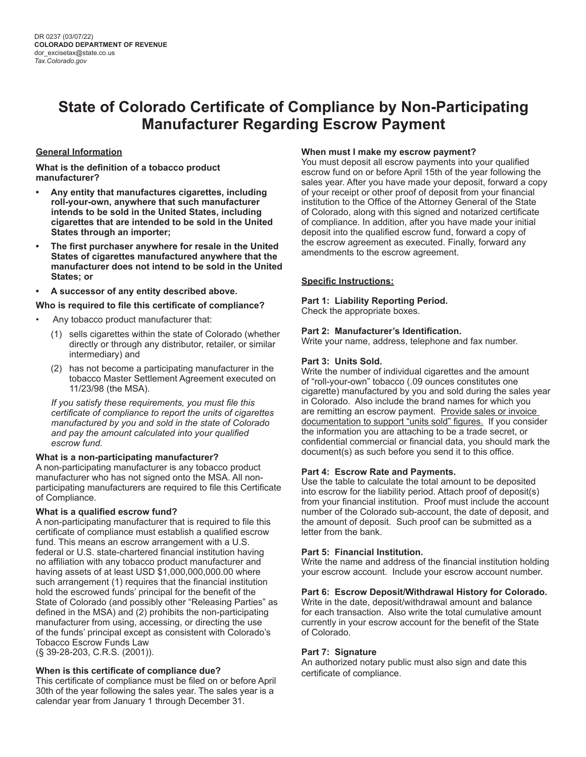# **State of Colorado Certificate of Compliance by Non-Participating Manufacturer Regarding Escrow Payment**

## **General Information**

**What is the definition of a tobacco product manufacturer?**

- **• Any entity that manufactures cigarettes, including roll-your-own, anywhere that such manufacturer intends to be sold in the United States, including cigarettes that are intended to be sold in the United States through an importer;**
- **• The first purchaser anywhere for resale in the United States of cigarettes manufactured anywhere that the manufacturer does not intend to be sold in the United States; or**
- **• A successor of any entity described above.**

### **Who is required to file this certificate of compliance?**

- Any tobacco product manufacturer that:
	- (1) sells cigarettes within the state of Colorado (whether directly or through any distributor, retailer, or similar intermediary) and
	- (2) has not become a participating manufacturer in the tobacco Master Settlement Agreement executed on 11/23/98 (the MSA).

*If you satisfy these requirements, you must file this certificate of compliance to report the units of cigarettes manufactured by you and sold in the state of Colorado and pay the amount calculated into your qualified escrow fund.*

## **What is a non-participating manufacturer?**

A non-participating manufacturer is any tobacco product manufacturer who has not signed onto the MSA. All nonparticipating manufacturers are required to file this Certificate of Compliance.

## **What is a qualified escrow fund?**

A non-participating manufacturer that is required to file this certificate of compliance must establish a qualified escrow fund. This means an escrow arrangement with a U.S. federal or U.S. state-chartered financial institution having no affiliation with any tobacco product manufacturer and having assets of at least USD \$1,000,000,000.00 where such arrangement (1) requires that the financial institution hold the escrowed funds' principal for the benefit of the State of Colorado (and possibly other "Releasing Parties" as defined in the MSA) and (2) prohibits the non-participating manufacturer from using, accessing, or directing the use of the funds' principal except as consistent with Colorado's Tobacco Escrow Funds Law (§ 39-28-203, C.R.S. (2001)).

## **When is this certificate of compliance due?**

This certificate of compliance must be filed on or before April 30th of the year following the sales year. The sales year is a calendar year from January 1 through December 31.

### **When must I make my escrow payment?**

You must deposit all escrow payments into your qualified escrow fund on or before April 15th of the year following the sales year. After you have made your deposit, forward a copy of your receipt or other proof of deposit from your financial institution to the Office of the Attorney General of the State of Colorado, along with this signed and notarized certificate of compliance. In addition, after you have made your initial deposit into the qualified escrow fund, forward a copy of the escrow agreement as executed. Finally, forward any amendments to the escrow agreement.

### **Specific Instructions:**

## **Part 1: Liability Reporting Period.**

Check the appropriate boxes.

### **Part 2: Manufacturer's Identification.**

Write your name, address, telephone and fax number.

### **Part 3: Units Sold.**

Write the number of individual cigarettes and the amount of "roll-your-own" tobacco (.09 ounces constitutes one cigarette) manufactured by you and sold during the sales year in Colorado. Also include the brand names for which you are remitting an escrow payment. Provide sales or invoice documentation to support "units sold" figures. If you consider the information you are attaching to be a trade secret, or confidential commercial or financial data, you should mark the document(s) as such before you send it to this office.

#### **Part 4: Escrow Rate and Payments.**

Use the table to calculate the total amount to be deposited into escrow for the liability period. Attach proof of deposit(s) from your financial institution. Proof must include the account number of the Colorado sub-account, the date of deposit, and the amount of deposit. Such proof can be submitted as a letter from the bank.

#### **Part 5: Financial Institution.**

Write the name and address of the financial institution holding your escrow account. Include your escrow account number.

#### **Part 6: Escrow Deposit/Withdrawal History for Colorado.**

Write in the date, deposit/withdrawal amount and balance for each transaction. Also write the total cumulative amount currently in your escrow account for the benefit of the State of Colorado.

## **Part 7: Signature**

An authorized notary public must also sign and date this certificate of compliance.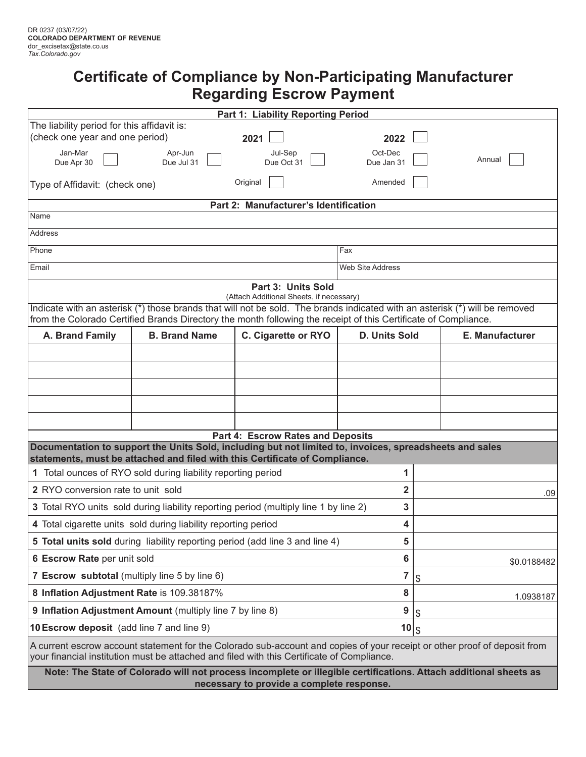# **Certificate of Compliance by Non-Participating Manufacturer Regarding Escrow Payment**

| Part 1: Liability Reporting Period                                                                                                                                                                                      |                                                              |                                   |                       |                                                                                                                  |  |  |  |
|-------------------------------------------------------------------------------------------------------------------------------------------------------------------------------------------------------------------------|--------------------------------------------------------------|-----------------------------------|-----------------------|------------------------------------------------------------------------------------------------------------------|--|--|--|
| The liability period for this affidavit is:                                                                                                                                                                             |                                                              |                                   |                       |                                                                                                                  |  |  |  |
| (check one year and one period)                                                                                                                                                                                         |                                                              | 2021                              | 2022                  |                                                                                                                  |  |  |  |
| Jan-Mar<br>Due Apr 30                                                                                                                                                                                                   | Apr-Jun<br>Due Jul 31                                        | Jul-Sep<br>Due Oct 31             | Oct-Dec<br>Due Jan 31 | Annual                                                                                                           |  |  |  |
| Type of Affidavit: (check one)                                                                                                                                                                                          |                                                              | Amended                           |                       |                                                                                                                  |  |  |  |
| Part 2: Manufacturer's Identification                                                                                                                                                                                   |                                                              |                                   |                       |                                                                                                                  |  |  |  |
| Name                                                                                                                                                                                                                    |                                                              |                                   |                       |                                                                                                                  |  |  |  |
| Address                                                                                                                                                                                                                 |                                                              |                                   |                       |                                                                                                                  |  |  |  |
| Phone                                                                                                                                                                                                                   |                                                              | Fax                               |                       |                                                                                                                  |  |  |  |
| Email                                                                                                                                                                                                                   |                                                              |                                   |                       | <b>Web Site Address</b>                                                                                          |  |  |  |
| Part 3: Units Sold                                                                                                                                                                                                      |                                                              |                                   |                       |                                                                                                                  |  |  |  |
| (Attach Additional Sheets, if necessary)<br>Indicate with an asterisk (*) those brands that will not be sold. The brands indicated with an asterisk (*) will be removed                                                 |                                                              |                                   |                       |                                                                                                                  |  |  |  |
| from the Colorado Certified Brands Directory the month following the receipt of this Certificate of Compliance.                                                                                                         |                                                              |                                   |                       |                                                                                                                  |  |  |  |
| A. Brand Family                                                                                                                                                                                                         | <b>B. Brand Name</b>                                         | C. Cigarette or RYO               | D. Units Sold         | E. Manufacturer                                                                                                  |  |  |  |
|                                                                                                                                                                                                                         |                                                              |                                   |                       |                                                                                                                  |  |  |  |
|                                                                                                                                                                                                                         |                                                              |                                   |                       |                                                                                                                  |  |  |  |
|                                                                                                                                                                                                                         |                                                              |                                   |                       |                                                                                                                  |  |  |  |
|                                                                                                                                                                                                                         |                                                              |                                   |                       |                                                                                                                  |  |  |  |
|                                                                                                                                                                                                                         |                                                              |                                   |                       |                                                                                                                  |  |  |  |
|                                                                                                                                                                                                                         |                                                              | Part 4: Escrow Rates and Deposits |                       |                                                                                                                  |  |  |  |
| Documentation to support the Units Sold, including but not limited to, invoices, spreadsheets and sales<br>statements, must be attached and filed with this Certificate of Compliance.                                  |                                                              |                                   |                       |                                                                                                                  |  |  |  |
|                                                                                                                                                                                                                         | 1 Total ounces of RYO sold during liability reporting period | 1                                 |                       |                                                                                                                  |  |  |  |
| <b>2</b> RYO conversion rate to unit sold                                                                                                                                                                               |                                                              | $\mathbf 2$                       | .09                   |                                                                                                                  |  |  |  |
| 3 Total RYO units sold during liability reporting period (multiply line 1 by line 2)                                                                                                                                    | 3                                                            |                                   |                       |                                                                                                                  |  |  |  |
| 4 Total cigarette units sold during liability reporting period                                                                                                                                                          | 4                                                            |                                   |                       |                                                                                                                  |  |  |  |
| 5 Total units sold during liability reporting period (add line 3 and line 4)                                                                                                                                            | 5                                                            |                                   |                       |                                                                                                                  |  |  |  |
| 6 Escrow Rate per unit sold                                                                                                                                                                                             | 6                                                            | \$0.0188482                       |                       |                                                                                                                  |  |  |  |
| 7 Escrow subtotal (multiply line 5 by line 6)                                                                                                                                                                           | 7                                                            | \$                                |                       |                                                                                                                  |  |  |  |
| 8 Inflation Adjustment Rate is 109.38187%                                                                                                                                                                               | 8                                                            | 1.0938187                         |                       |                                                                                                                  |  |  |  |
| 9 Inflation Adjustment Amount (multiply line 7 by line 8)                                                                                                                                                               | 9                                                            | \$                                |                       |                                                                                                                  |  |  |  |
| 10 Escrow deposit (add line 7 and line 9)                                                                                                                                                                               | $10 \$$                                                      |                                   |                       |                                                                                                                  |  |  |  |
| A current escrow account statement for the Colorado sub-account and copies of your receipt or other proof of deposit from<br>your financial institution must be attached and filed with this Certificate of Compliance. |                                                              |                                   |                       |                                                                                                                  |  |  |  |
|                                                                                                                                                                                                                         |                                                              |                                   |                       | Note: The State of Colorado will not process incomplete or illegible certifications. Attach additional sheets as |  |  |  |

**necessary to provide a complete response.**